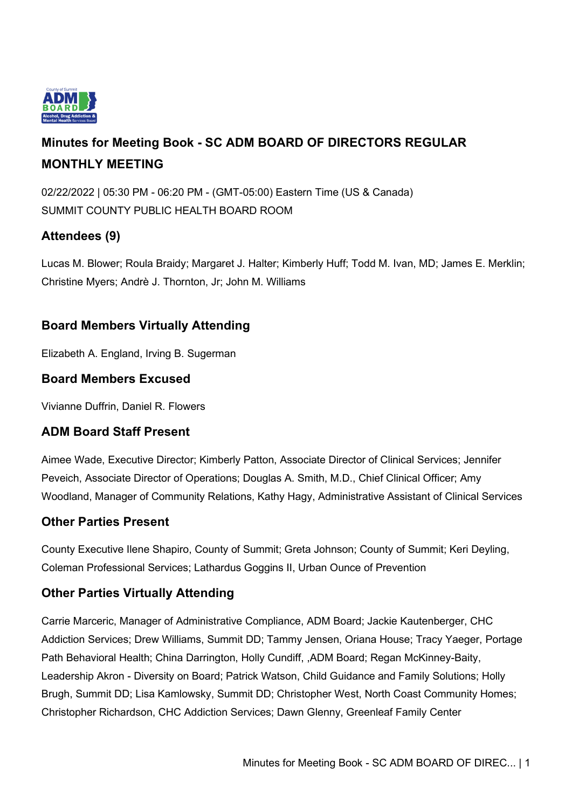

# **Minutes for Meeting Book - SC ADM BOARD OF DIRECTORS REGULAR MONTHLY MEETING**

02/22/2022 | 05:30 PM - 06:20 PM - (GMT-05:00) Eastern Time (US & Canada) SUMMIT COUNTY PUBLIC HEALTH BOARD ROOM

# **Attendees (9)**

Lucas M. Blower; Roula Braidy; Margaret J. Halter; Kimberly Huff; Todd M. Ivan, MD; James E. Merklin; Christine Myers; Andrè J. Thornton, Jr; John M. Williams

## **Board Members Virtually Attending**

Elizabeth A. England, Irving B. Sugerman

## **Board Members Excused**

Vivianne Duffrin, Daniel R. Flowers

## **ADM Board Staff Present**

Aimee Wade, Executive Director; Kimberly Patton, Associate Director of Clinical Services; Jennifer Peveich, Associate Director of Operations; Douglas A. Smith, M.D., Chief Clinical Officer; Amy Woodland, Manager of Community Relations, Kathy Hagy, Administrative Assistant of Clinical Services

## **Other Parties Present**

County Executive Ilene Shapiro, County of Summit; Greta Johnson; County of Summit; Keri Deyling, Coleman Professional Services; Lathardus Goggins II, Urban Ounce of Prevention

## **Other Parties Virtually Attending**

Carrie Marceric, Manager of Administrative Compliance, ADM Board; Jackie Kautenberger, CHC Addiction Services; Drew Williams, Summit DD; Tammy Jensen, Oriana House; Tracy Yaeger, Portage Path Behavioral Health; China Darrington, Holly Cundiff, ,ADM Board; Regan McKinney-Baity, Leadership Akron - Diversity on Board; Patrick Watson, Child Guidance and Family Solutions; Holly Brugh, Summit DD; Lisa Kamlowsky, Summit DD; Christopher West, North Coast Community Homes; Christopher Richardson, CHC Addiction Services; Dawn Glenny, Greenleaf Family Center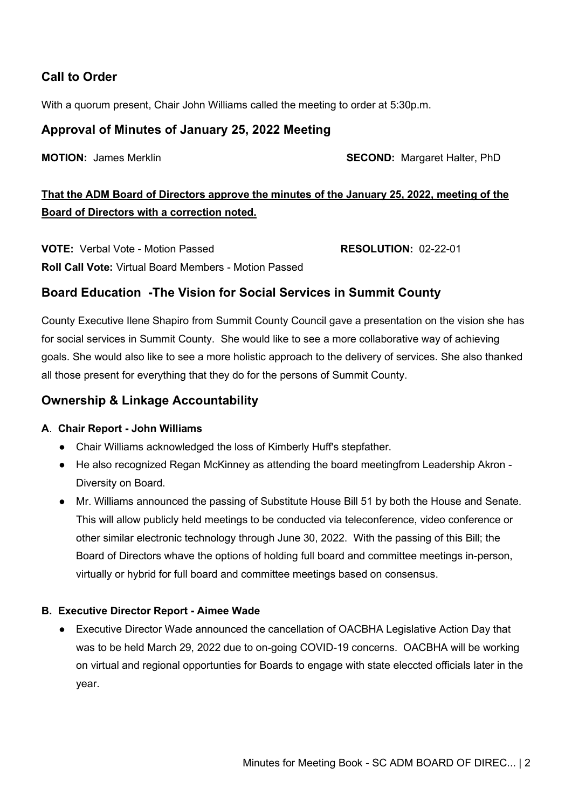# **Call to Order**

With a quorum present, Chair John Williams called the meeting to order at 5:30p.m.

### **Approval of Minutes of January 25, 2022 Meeting**

**MOTION:** James Merklin **SECOND:** Margaret Halter, PhD

# **That the ADM Board of Directors approve the minutes of the January 25, 2022, meeting of the Board of Directors with a correction noted.**

**VOTE:** Verbal Vote - Motion Passed **RESOLUTION:** 02-22-01 **Roll Call Vote:** Virtual Board Members - Motion Passed

### **Board Education -The Vision for Social Services in Summit County**

County Executive Ilene Shapiro from Summit County Council gave a presentation on the vision she has for social services in Summit County. She would like to see a more collaborative way of achieving goals. She would also like to see a more holistic approach to the delivery of services. She also thanked all those present for everything that they do for the persons of Summit County.

### **Ownership & Linkage Accountability**

#### **A**. **Chair Report - John Williams**

- Chair Williams acknowledged the loss of Kimberly Huff's stepfather.
- He also recognized Regan McKinney as attending the board meetingfrom Leadership Akron -Diversity on Board.
- Mr. Williams announced the passing of Substitute House Bill 51 by both the House and Senate. This will allow publicly held meetings to be conducted via teleconference, video conference or other similar electronic technology through June 30, 2022. With the passing of this Bill; the Board of Directors whave the options of holding full board and committee meetings in-person, virtually or hybrid for full board and committee meetings based on consensus.

#### **B. Executive Director Report - Aimee Wade**

● Executive Director Wade announced the cancellation of OACBHA Legislative Action Day that was to be held March 29, 2022 due to on-going COVID-19 concerns. OACBHA will be working on virtual and regional opportunties for Boards to engage with state eleccted officials later in the year.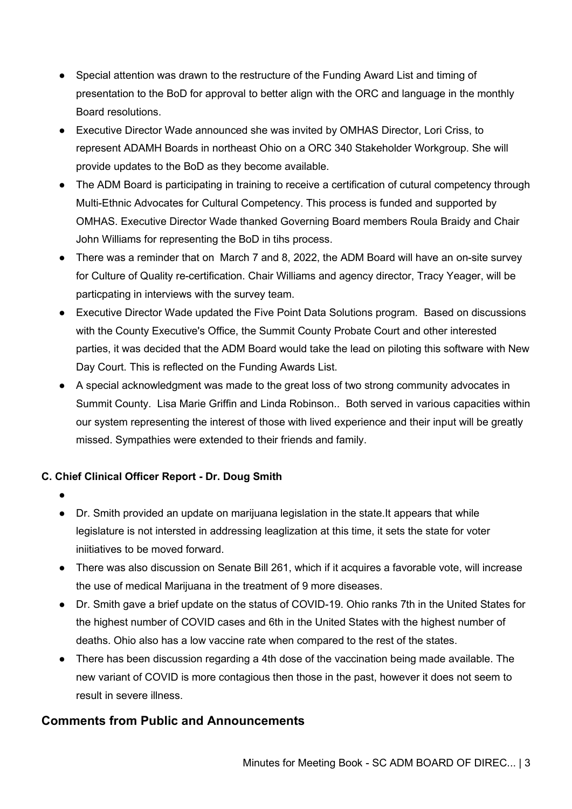- Special attention was drawn to the restructure of the Funding Award List and timing of presentation to the BoD for approval to better align with the ORC and language in the monthly Board resolutions.
- Executive Director Wade announced she was invited by OMHAS Director, Lori Criss, to represent ADAMH Boards in northeast Ohio on a ORC 340 Stakeholder Workgroup. She will provide updates to the BoD as they become available.
- The ADM Board is participating in training to receive a certification of cutural competency through Multi-Ethnic Advocates for Cultural Competency. This process is funded and supported by OMHAS. Executive Director Wade thanked Governing Board members Roula Braidy and Chair John Williams for representing the BoD in tihs process.
- There was a reminder that on March 7 and 8, 2022, the ADM Board will have an on-site survey for Culture of Quality re-certification. Chair Williams and agency director, Tracy Yeager, will be particpating in interviews with the survey team.
- Executive Director Wade updated the Five Point Data Solutions program. Based on discussions with the County Executive's Office, the Summit County Probate Court and other interested parties, it was decided that the ADM Board would take the lead on piloting this software with New Day Court. This is reflected on the Funding Awards List.
- A special acknowledgment was made to the great loss of two strong community advocates in Summit County. Lisa Marie Griffin and Linda Robinson.. Both served in various capacities within our system representing the interest of those with lived experience and their input will be greatly missed. Sympathies were extended to their friends and family.

### **C. Chief Clinical Officer Report - Dr. Doug Smith**

- ●
- Dr. Smith provided an update on marijuana legislation in the state.It appears that while legislature is not intersted in addressing leaglization at this time, it sets the state for voter iniitiatives to be moved forward.
- There was also discussion on Senate Bill 261, which if it acquires a favorable vote, will increase the use of medical Marijuana in the treatment of 9 more diseases.
- Dr. Smith gave a brief update on the status of COVID-19. Ohio ranks 7th in the United States for the highest number of COVID cases and 6th in the United States with the highest number of deaths. Ohio also has a low vaccine rate when compared to the rest of the states.
- There has been discussion regarding a 4th dose of the vaccination being made available. The new variant of COVID is more contagious then those in the past, however it does not seem to result in severe illness.

# **Comments from Public and Announcements**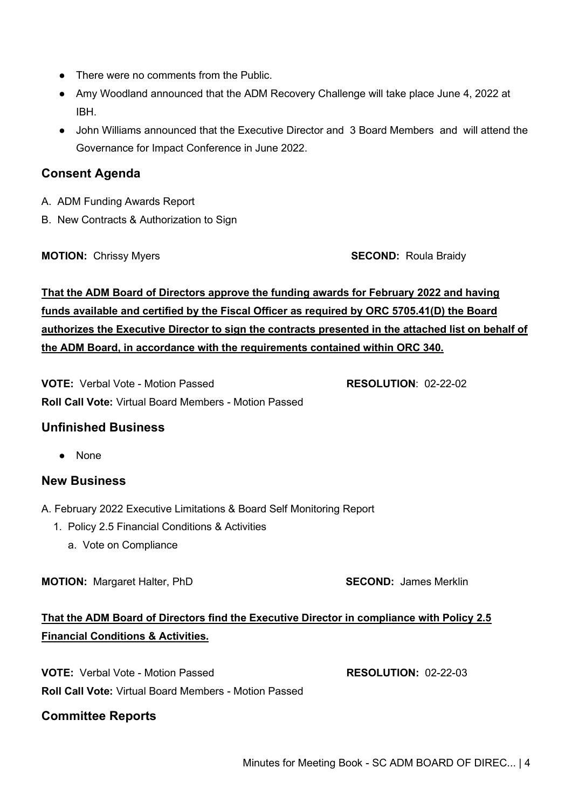- There were no comments from the Public.
- Amy Woodland announced that the ADM Recovery Challenge will take place June 4, 2022 at IBH.
- John Williams announced that the Executive Director and 3 Board Members and will attend the Governance for Impact Conference in June 2022.

### **Consent Agenda**

- A. ADM Funding Awards Report
- B. New Contracts & Authorization to Sign

**MOTION:** Chrissy Myers **SECOND:** Roula Braidy

# **That the ADM Board of Directors approve the funding awards for February 2022 and having funds available and certified by the Fiscal Officer as required by ORC 5705.41(D) the Board authorizes the Executive Director to sign the contracts presented in the attached list on behalf of the ADM Board, in accordance with the requirements contained within ORC 340.**

**VOTE:** Verbal Vote - Motion Passed **RESOLUTION**: 02-22-02 **Roll Call Vote:** Virtual Board Members - Motion Passed

### **Unfinished Business**

● None

### **New Business**

A. February 2022 Executive Limitations & Board Self Monitoring Report

- 1. Policy 2.5 Financial Conditions & Activities
	- a. Vote on Compliance

**MOTION:** Margaret Halter, PhD **SECOND:** James Merklin

# **That the ADM Board of Directors find the Executive Director in compliance with Policy 2.5 Financial Conditions & Activities.**

**VOTE:** Verbal Vote - Motion Passed **RESOLUTION:** 02-22-03 **Roll Call Vote:** Virtual Board Members - Motion Passed

### **Committee Reports**